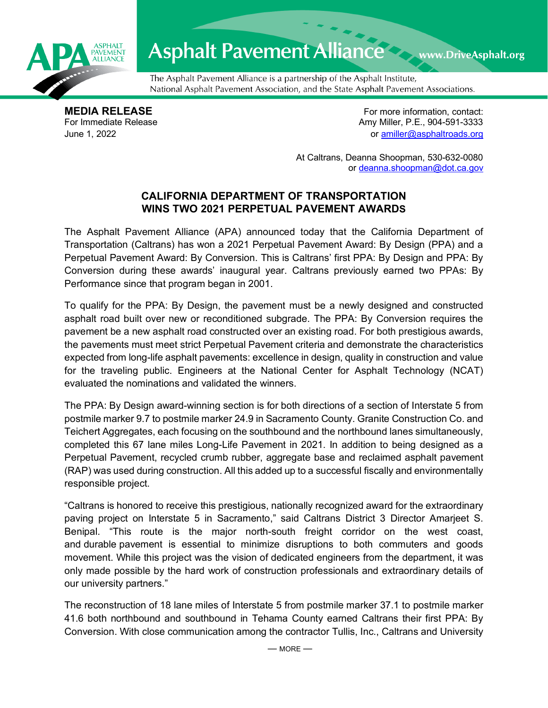

## Asphalt Pavement Alliance Mark DriveAsphalt.org

The Asphalt Pavement Alliance is a partnership of the Asphalt Institute, National Asphalt Pavement Association, and the State Asphalt Pavement Associations.

**MEDIA RELEASE**<br>
For Immediate Release **For more information, contact:**<br>
For Immediate Release **For the Structure of Amy Miller, P.E., 904-591-3333** Amy Miller, P.E., 904-591-3333 June 1, 2022 or [amiller@asphaltroads.org](mailto:amiller@asphaltroads.org)

> At Caltrans, Deanna Shoopman, 530-632-0080 or [deanna.shoopman@dot.ca.gov](mailto:deanna.shoopman@dot.ca.gov)

## **CALIFORNIA DEPARTMENT OF TRANSPORTATION WINS TWO 2021 PERPETUAL PAVEMENT AWARDS**

The Asphalt Pavement Alliance (APA) announced today that the California Department of Transportation (Caltrans) has won a 2021 Perpetual Pavement Award: By Design (PPA) and a Perpetual Pavement Award: By Conversion. This is Caltrans' first PPA: By Design and PPA: By Conversion during these awards' inaugural year. Caltrans previously earned two PPAs: By Performance since that program began in 2001.

To qualify for the PPA: By Design, the pavement must be a newly designed and constructed asphalt road built over new or reconditioned subgrade. The PPA: By Conversion requires the pavement be a new asphalt road constructed over an existing road. For both prestigious awards, the pavements must meet strict Perpetual Pavement criteria and demonstrate the characteristics expected from long-life asphalt pavements: excellence in design, quality in construction and value for the traveling public. Engineers at the National Center for Asphalt Technology (NCAT) evaluated the nominations and validated the winners.

The PPA: By Design award-winning section is for both directions of a section of Interstate 5 from postmile marker 9.7 to postmile marker 24.9 in Sacramento County. Granite Construction Co. and Teichert Aggregates, each focusing on the southbound and the northbound lanes simultaneously, completed this 67 lane miles Long-Life Pavement in 2021. In addition to being designed as a Perpetual Pavement, recycled crumb rubber, aggregate base and reclaimed asphalt pavement (RAP) was used during construction. All this added up to a successful fiscally and environmentally responsible project.

"Caltrans is honored to receive this prestigious, nationally recognized award for the extraordinary paving project on Interstate 5 in Sacramento," said Caltrans District 3 Director Amarjeet S. Benipal. "This route is the major north-south freight corridor on the west coast, and durable pavement is essential to minimize disruptions to both commuters and goods movement. While this project was the vision of dedicated engineers from the department, it was only made possible by the hard work of construction professionals and extraordinary details of our university partners."

The reconstruction of 18 lane miles of Interstate 5 from postmile marker 37.1 to postmile marker 41.6 both northbound and southbound in Tehama County earned Caltrans their first PPA: By Conversion. With close communication among the contractor Tullis, Inc., Caltrans and University